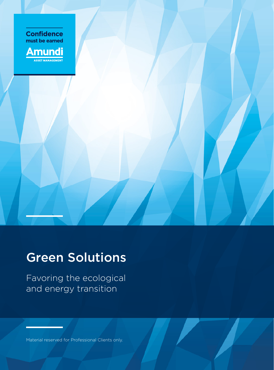



# Green Solutions

Favoring the ecological and energy transition

Material reserved for Professional Clients only.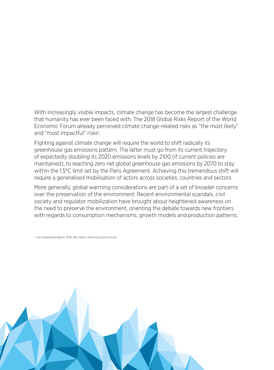With increasingly visible impacts, climate change has become the largest challenge that humanity has ever been faced with. The 2018 Global Risks Report of the World Economic Forum already perceived climate change-related risks as "the most likely" and "most impactful" risks<sup>1</sup>.

Fighting against climate change will require the world to shift radically its greenhouse gas emissions pattern. The latter must go from its current trajectory of expectedly doubling its 2020 emissions levels by 2100 (if current policies are maintained), to reaching zero net global greenhouse gas emissions by 2070 to stay within the 1.5°C limit set by the Paris Agreement. Achieving this tremendous shift will require a generalised mobilisation of actors across societies, countries and sectors.

More generally, global warming considerations are part of a set of broader concerns over the preservation of the environment. Recent environmental scandals, civil society and regulator mobilization have brought about heightened awareness on the need to preserve the environment, orienting the debate towards new frontiers with regards to consumption mechanisms, growth models and production patterns.

1. The Global Risks Report 2018, 13th Edition, World Economic Forum.

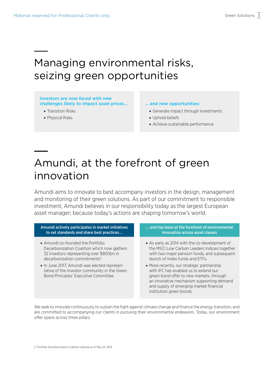### Managing environmental risks, seizing green opportunities

### Investors are now faced with new challenges likely to impact asset prices...

- Transition Risks
- Physical Risks

### … and new opportunities:

- **Generate impact through investments**
- **Uphold beliefs**
- Achieve sustainable performance

### Amundi, at the forefront of green innovation

Amundi aims to innovate to best accompany investors in the design, management and monitoring of their green solutions. As part of our commitment to responsible investment, Amundi believes in our responsibility today as the largest European asset manager; because today's actions are shaping tomorrow's world.

Amundi actively participates in market initiatives to set standards and share best practices…

- Amundi co-founded the Portfolio Decarbonization Coalition which now gathers 32 investors representing over \$800bn in decarbonization commitments<sup>2</sup>.
- ¡ In June 2017, Amundi was elected representative of the Investor community in the Green Bond Principles' Executive Committee.

### … and has been at the forefront of environmental innovation across asset classes

- ¡ As early as 2014 with the co-development of the MSCI Low Carbon Leaders Indices together with two major pension funds, and subsequent launch of Index funds and ETFs.
- ¡ More recently, our strategic partnership with IFC has enabled us to extend our green bond offer to new markets, through an innovative mechanism supporting demand and supply of emerging market financial institution green bonds.

We seek to innovate continuously to sustain the fight against climate change and finance the energy transition, and are committed to accompanying our clients in pursuing their environmental endeavors. Today, our environment offer spans across three pillars.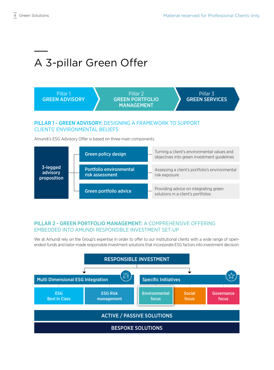Providing advice on integrating green solutions in a client's portfolios

# A 3-pillar Green Offer



PILLAR 2 - GREEN PORTFOLIO MANAGEMENT: A COMPREHENSIVE OFFERING EMBEDDED INTO AMUNDI RESPONSIBLE INVESTMENT SET-UP

Green portfolio advice

We at Amundi rely on the Group's expertise in order to offer to our institutional clients with a wide range of openended-funds and tailor-made responsible investment solutions that incorporate ESG factors into investment decision.

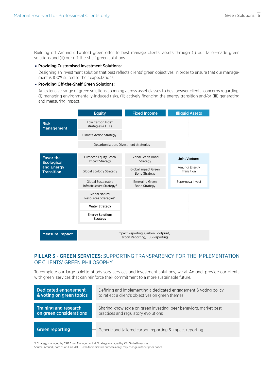Building off Amundi's twofold green offer to best manage clients' assets through (i) our tailor-made green solutions and (ii) our off-the-shelf green solutions.

### ¡ Providing Customised Investment Solutions:

Designing an investment solution that best reflects clients' green objectives, in order to ensure that our management is 100% suited to their expectations.

### ¡ Providing Off-the-Shelf Green Solutions:

An extensive range of green solutions spanning across asset classes to best answer clients' concerns regarding: (i) managing environmentally-induced risks, (ii) actively financing the energy transition and/or (iii) generating and measuring impact.

|                                                                          | <b>Equity</b>                                                          | <b>Fixed Income</b>                           | <b>Illiquid Assets</b>      |
|--------------------------------------------------------------------------|------------------------------------------------------------------------|-----------------------------------------------|-----------------------------|
| <b>Risk</b><br>Management                                                | Low Carbon Index<br>strategies & ETFs                                  |                                               |                             |
|                                                                          | Climate Action Strategy <sup>3</sup>                                   |                                               |                             |
|                                                                          | Decarbonisation, Divestment strategies                                 |                                               |                             |
| <b>Favor the</b><br><b>Ecological</b><br>and Energy<br><b>Transition</b> | <b>European Equity Green</b><br><b>Impact Strategy</b>                 | Global Green Bond<br>Strategy                 | <b>Joint Ventures</b>       |
|                                                                          | Global Ecology Strategy                                                | Global Impact Green<br><b>Bond Strategy</b>   | Amundi Energy<br>Transition |
|                                                                          | Global Sustainable<br>Infrastructure Strategy <sup>4</sup>             | <b>Emerging Green</b><br><b>Bond Strategy</b> | Supernova Invest            |
|                                                                          | <b>Global Natural</b><br>Resources Strategies <sup>4</sup>             |                                               |                             |
|                                                                          | <b>Water Strategy</b>                                                  |                                               |                             |
|                                                                          | <b>Energy Solutions</b><br>Strategy                                    |                                               |                             |
|                                                                          | Τ                                                                      |                                               |                             |
| <b>Measure impact</b>                                                    | Impact Reporting, Carbon Footprint,<br>Carbon Reporting, ESG Reporting |                                               |                             |

### PILLAR 3 - GREEN SERVICES: SUPPORTING TRANSPARENCY FOR THE IMPLEMENTATION OF CLIENTS' GREEN PHILOSOPHY

To complete our large palette of advisory services and investment solutions, we at Amundi provide our clients with green services that can reinforce their commitment to a more sustainable future.



3. Strategy managed by CPR Asset Management. 4. Strategy managed by KBI Global Investors. Source: Amundi, data as of June 2019. Given for indicative purposes only, may change without prior notice.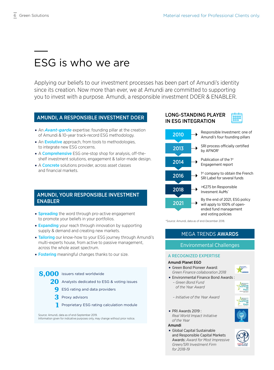## ESG is who we are

Applying our beliefs to our investment processes has been part of Amundi's identity since its creation. Now more than ever, we at Amundi are committed to supporting you to invest with a purpose. Amundi, a responsible investment DOER & ENABLER.

### AMUNDI, A RESPONSIBLE INVESTMENT DOER

- **An Avant-garde** expertise: founding pillar at the creation of Amundi & 10-year track-record ESG methodology.
- An Evolutive approach, from tools to methodologies, to integrate new ESG concerns.
- A **Comprehensive** ESG one-stop shop for analysis, off-theshelf investment solutions, engagement & tailor-made design.
- A **Concrete** solutions provider, across asset classes and financial markets.

### AMUNDI, YOUR RESPONSIBLE INVESTMENT ENABLER

- **Spreading** the word through pro-active engagement to promote your beliefs in your portfolios.
- **Expanding** your reach through innovation by supporting supply & demand and creating new markets.
- **Tailoring** our know-how to your ESG journey through Amundi's multi-experts house, from active to passive management, across the whole asset spectrum.
- **Fostering** meaningful changes thanks to our size.

### 8.000 issuers rated worldwide

- 20 Analysts dedicated to ESG & voting issues
	- **9** ESG rating and data providers
	- **3** Proxy advisors
	- **1** Proprietary ESG rating calculation module

Source: Amundi, data as of end-September 2019.

Information given for indicative purposes only, may change without prior notice.

### LONG-STANDING PLAYER IN ESG INTEGRATION





\*Source: Amundi, data as of end-December 2018.

### MEGA TRENDS AWARDS

### Environmental Challenges

### A RECOGNIZED EXPERTISE

#### Amundi Planet EGO

**• Green Bond Pioneer Award:** *Green Finance collaboration 2018*



**Environmental Finance Bond Awards:** *– Green Bond Fund* 



*– Initiative of the Year Award*

*of the Year Award*

- 
- ¡ PRI Awards 2019 : *Real World Impact Initiative of the Year*

#### Amundi

¡ Global Capital Sustainable and Responsible Capital Markets Awards: *Award for Most Impressive Green/SRI Investment Firm for 2018-19*